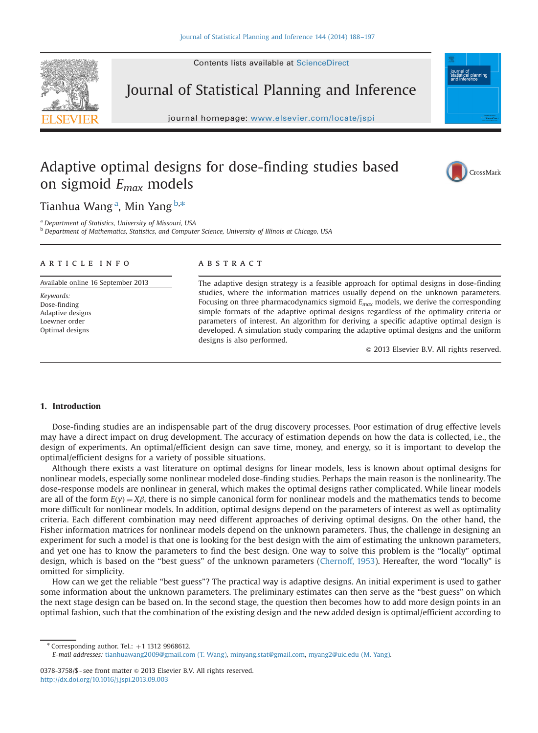

Journal of Statistical Planning and Inference

journal homepage: <www.elsevier.com/locate/jspi>

# Adaptive optimal designs for dose-finding studies based on sigmoid  $E_{max}$  models



Tianhua Wang <sup>a</sup>, Min Yang <sup>b,</sup>\*

<sup>a</sup> Department of Statistics, University of Missouri, USA

b Department of Mathematics, Statistics, and Computer Science, University of Illinois at Chicago, USA

#### article info

Available online 16 September 2013

Keywords: Dose-finding Adaptive designs Loewner order Optimal designs

# **ABSTRACT**

The adaptive design strategy is a feasible approach for optimal designs in dose-finding studies, where the information matrices usually depend on the unknown parameters. Focusing on three pharmacodynamics sigmoid  $E_{max}$  models, we derive the corresponding simple formats of the adaptive optimal designs regardless of the optimality criteria or parameters of interest. An algorithm for deriving a specific adaptive optimal design is developed. A simulation study comparing the adaptive optimal designs and the uniform designs is also performed.

 $\odot$  2013 Elsevier B.V. All rights reserved.

# 1. Introduction

Dose-finding studies are an indispensable part of the drug discovery processes. Poor estimation of drug effective levels may have a direct impact on drug development. The accuracy of estimation depends on how the data is collected, i.e., the design of experiments. An optimal/efficient design can save time, money, and energy, so it is important to develop the optimal/efficient designs for a variety of possible situations.

Although there exists a vast literature on optimal designs for linear models, less is known about optimal designs for nonlinear models, especially some nonlinear modeled dose-finding studies. Perhaps the main reason is the nonlinearity. The dose-response models are nonlinear in general, which makes the optimal designs rather complicated. While linear models are all of the form  $E(y) = X\beta$ , there is no simple canonical form for nonlinear models and the mathematics tends to become more difficult for nonlinear models. In addition, optimal designs depend on the parameters of interest as well as optimality criteria. Each different combination may need different approaches of deriving optimal designs. On the other hand, the Fisher information matrices for nonlinear models depend on the unknown parameters. Thus, the challenge in designing an experiment for such a model is that one is looking for the best design with the aim of estimating the unknown parameters, and yet one has to know the parameters to find the best design. One way to solve this problem is the "locally" optimal design, which is based on the "best guess" of the unknown parameters [\(Chernoff, 1953\)](#page-9-0). Hereafter, the word "locally" is omitted for simplicity.

How can we get the reliable "best guess"? The practical way is adaptive designs. An initial experiment is used to gather some information about the unknown parameters. The preliminary estimates can then serve as the "best guess" on which the next stage design can be based on. In the second stage, the question then becomes how to add more design points in an optimal fashion, such that the combination of the existing design and the new added design is optimal/efficient according to

 $*$  Corresponding author. Tel.:  $+1$  1312 9968612.

E-mail addresses: [tianhuawang2009@gmail.com \(T. Wang\)](mailto:tianhuawang2009@gmail.com), [minyang.stat@gmail.com,](mailto:minyang.stat@gmail.com) [myang2@uic.edu \(M. Yang\).](mailto:myang2@uic.edu)

<sup>0378-3758/\$ -</sup> see front matter  $\odot$  2013 Elsevier B.V. All rights reserved. <http://dx.doi.org/10.1016/j.jspi.2013.09.003>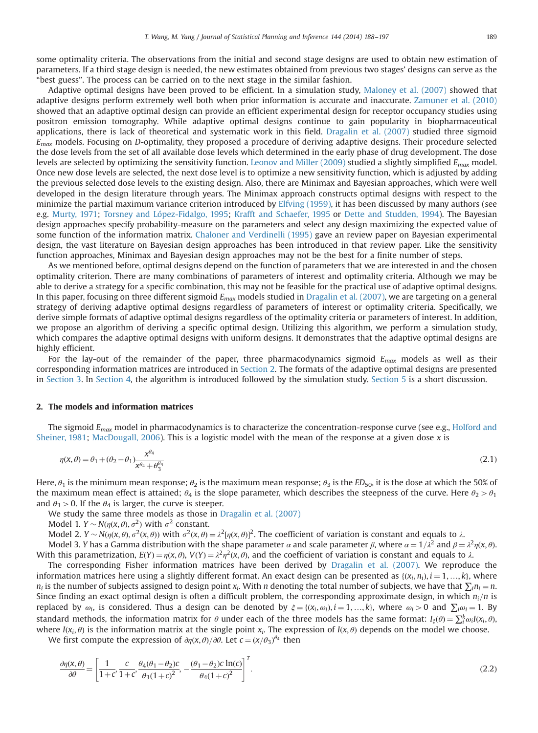"best guess". The process can be carried on to the next stage in the similar fashion. Adaptive optimal designs have been proved to be efficient. In a simulation study, [Maloney et al. \(2007\)](#page-9-0) showed that adaptive designs perform extremely well both when prior information is accurate and inaccurate. [Zamuner et al. \(2010\)](#page-9-0) showed that an adaptive optimal design can provide an efficient experimental design for receptor occupancy studies using positron emission tomography. While adaptive optimal designs continue to gain popularity in biopharmaceutical applications, there is lack of theoretical and systematic work in this field. [Dragalin et al. \(2007\)](#page-9-0) studied three sigmoid  $E_{max}$  models. Focusing on D-optimality, they proposed a procedure of deriving adaptive designs. Their procedure selected the dose levels from the set of all available dose levels which determined in the early phase of drug development. The dose levels are selected by optimizing the sensitivity function. [Leonov and Miller \(2009\)](#page-9-0) studied a slightly simplified  $E_{max}$  model. Once new dose levels are selected, the next dose level is to optimize a new sensitivity function, which is adjusted by adding the previous selected dose levels to the existing design. Also, there are Minimax and Bayesian approaches, which were well developed in the design literature through years. The Minimax approach constructs optimal designs with respect to the minimize the partial maximum variance criterion introduced by [Elfving \(1959\),](#page-9-0) it has been discussed by many authors (see e.g. [Murty, 1971;](#page-9-0) [Torsney and López-Fidalgo, 1995](#page-9-0); [Krafft and Schaefer, 1995](#page-9-0) or [Dette and Studden, 1994](#page-9-0)). The Bayesian design approaches specify probability-measure on the parameters and select any design maximizing the expected value of some function of the information matrix. [Chaloner and Verdinelli \(1995\)](#page-9-0) gave an review paper on Bayesian experimental design, the vast literature on Bayesian design approaches has been introduced in that review paper. Like the sensitivity function approaches, Minimax and Bayesian design approaches may not be the best for a finite number of steps.

As we mentioned before, optimal designs depend on the function of parameters that we are interested in and the chosen optimality criterion. There are many combinations of parameters of interest and optimality criteria. Although we may be able to derive a strategy for a specific combination, this may not be feasible for the practical use of adaptive optimal designs. In this paper, focusing on three different sigmoid  $E_{max}$  models studied in [Dragalin et al. \(2007\)](#page-9-0), we are targeting on a general strategy of deriving adaptive optimal designs regardless of parameters of interest or optimality criteria. Specifically, we derive simple formats of adaptive optimal designs regardless of the optimality criteria or parameters of interest. In addition, we propose an algorithm of deriving a specific optimal design. Utilizing this algorithm, we perform a simulation study, which compares the adaptive optimal designs with uniform designs. It demonstrates that the adaptive optimal designs are highly efficient.

For the lay-out of the remainder of the paper, three pharmacodynamics sigmoid  $E_{max}$  models as well as their corresponding information matrices are introduced in Section 2. The formats of the adaptive optimal designs are presented in [Section 3](#page-2-0). In [Section 4](#page-5-0), the algorithm is introduced followed by the simulation study. [Section 5](#page-8-0) is a short discussion.

#### 2. The models and information matrices

The sigmoid  $E_{max}$  model in pharmacodynamics is to characterize the concentration-response curve (see e.g., [Holford and](#page-9-0) [Sheiner, 1981;](#page-9-0) [MacDougall, 2006](#page-9-0)). This is a logistic model with the mean of the response at a given dose x is

$$
\eta(x,\theta) = \theta_1 + (\theta_2 - \theta_1) \frac{x^{\theta_4}}{x^{\theta_4} + \theta_3^{\theta_4}} \tag{2.1}
$$

Here,  $\theta_1$  is the minimum mean response;  $\theta_2$  is the maximum mean response;  $\theta_3$  is the ED<sub>50</sub>, it is the dose at which the 50% of the maximum mean effect is attained;  $\theta_4$  is the slope parameter, which describes the steepness of the curve. Here  $\theta_2 > \theta_1$ and  $\theta_3 > 0$ . If the  $\theta_4$  is larger, the curve is steeper.

We study the same three models as those in [Dragalin et al. \(2007\)](#page-9-0)

Model 1.  $Y \sim N(\eta(x, \theta), \sigma^2)$  with  $\sigma^2$  constant.

Model 2.  $Y \sim N(\eta(x, \theta), \sigma^2(x, \theta))$  with  $\sigma^2(x, \theta) = \lambda^2[\eta(x, \theta)]^2$ . The coefficient of variation is constant and equals to  $\lambda$ .

Model 3. Y has a Gamma distribution with the shape parameter  $\alpha$  and scale parameter  $\beta$ , where  $\alpha = 1/\lambda^2$  and  $\beta = \lambda^2 \eta(x, \theta)$ . With this parametrization,  $E(Y) = \eta(x, \theta)$ ,  $V(Y) = \lambda^2 \eta^2(x, \theta)$ , and the coefficient of variation is constant and equals to  $\lambda$ .

The corresponding Fisher information matrices have been derived by [Dragalin et al. \(2007\)](#page-9-0). We reproduce the information matrices here using a slightly different format. An exact design can be presented as  $\{(x_i, n_i), i = 1, ..., k\}$ , where  $n_i$  is the number of subjects assigned to design point  $x_i$ . With *n* denoting the total number  $n_i$  is the number of subjects assigned to design point  $x_i$ . With  $n$  denoting the total number of subjects, we have that  $\sum_i n_i = n$ .<br>Since finding an exact optimal design is often a difficult problem, the corresponding a replaced by  $\omega_i$ , is considered. Thus a design can be denoted by  $\xi = \{(x_i, \omega_i), i = 1, ..., k\}$ , where  $\omega_i > 0$  and  $\sum_i \omega_i = 1$ . By standard methods, the information matrix for  $\theta$  under each of the three models has the same format:  $I_{\xi}(\theta) = \sum_{i=1}^{k} \omega_i I(x_i, \theta)$ , where  $I(x_i, \theta)$  is the information matrix at the single point  $x_i$ . The expression of  $I(x, \theta)$  depends on the model we choose.

We first compute the expression of  $\partial \eta(x,\theta)/\partial \theta$ . Let  $c = (x/\theta_3)^{\theta_4}$  then

$$
\frac{\partial \eta(x,\theta)}{\partial \theta} = \left[ \frac{1}{1+c}, \frac{c}{1+c}, \frac{\theta_4(\theta_1 - \theta_2)c}{\theta_3(1+c)^2}, -\frac{(\theta_1 - \theta_2)c\ln(c)}{\theta_4(1+c)^2} \right]^T.
$$
\n(2.2)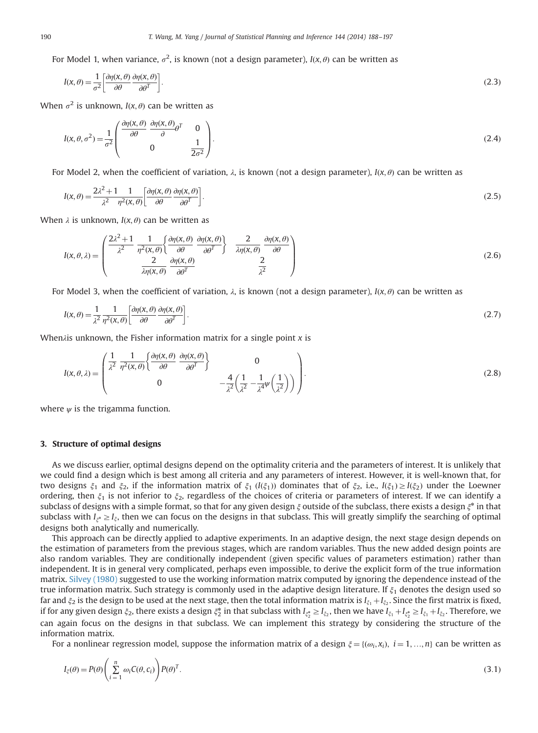<span id="page-2-0"></span>For Model 1, when variance,  $\sigma^2$ , is known (not a design parameter),  $I(x, \theta)$  can be written as

$$
I(x,\theta) = \frac{1}{\sigma^2} \left[ \frac{\partial \eta(x,\theta)}{\partial \theta} \frac{\partial \eta(x,\theta)}{\partial \theta^T} \right].
$$
\n(2.3)

When  $\sigma^2$  is unknown,  $I(x, \theta)$  can be written as

$$
I(x, \theta, \sigma^2) = \frac{1}{\sigma^2} \begin{pmatrix} \frac{\partial \eta(x, \theta)}{\partial \theta} & \frac{\partial \eta(x, \theta)}{\partial \theta} \sigma^T & 0\\ 0 & \frac{1}{2\sigma^2} \end{pmatrix} .
$$
 (2.4)

For Model 2, when the coefficient of variation,  $\lambda$ , is known (not a design parameter),  $I(x, \theta)$  can be written as

$$
I(x,\theta) = \frac{2\lambda^2 + 1}{\lambda^2} \frac{1}{\eta^2(x,\theta)} \left[ \frac{\partial \eta(x,\theta)}{\partial \theta} \frac{\partial \eta(x,\theta)}{\partial \theta^T} \right].
$$
 (2.5)

When  $\lambda$  is unknown,  $I(x, \theta)$  can be written as

$$
I(x, \theta, \lambda) = \begin{pmatrix} \frac{2\lambda^2 + 1}{\lambda^2} & \frac{1}{\eta^2(x, \theta)} \left\{ \frac{\partial \eta(x, \theta)}{\partial \theta} & \frac{\partial \eta(x, \theta)}{\partial \theta} \right\} & \frac{2}{\lambda \eta(x, \theta)} & \frac{\partial \eta(x, \theta)}{\partial \theta} \\ \frac{2}{\lambda \eta(x, \theta)} & \frac{\partial \eta(x, \theta)}{\partial \theta^T} & \frac{2}{\lambda^2} \end{pmatrix}
$$
(2.6)

For Model 3, when the coefficient of variation,  $\lambda$ , is known (not a design parameter),  $I(x, \theta)$  can be written as

$$
I(x,\theta) = \frac{1}{\lambda^2} \frac{1}{\eta^2(x,\theta)} \left[ \frac{\partial \eta(x,\theta)}{\partial \theta} \frac{\partial \eta(x,\theta)}{\partial \theta^T} \right].
$$
\n(2.7)

When $\lambda$ is unknown, the Fisher information matrix for a single point  $x$  is

$$
I(x, \theta, \lambda) = \begin{pmatrix} \frac{1}{\lambda^2} & \frac{1}{\eta^2(x, \theta)} \left\{ \frac{\partial \eta(x, \theta)}{\partial \theta} & \frac{\partial \eta(x, \theta)}{\partial \theta^T} \right\} & 0 \\ 0 & -\frac{4}{\lambda^2} \left( \frac{1}{\lambda^2} - \frac{1}{\lambda^4} \psi \left( \frac{1}{\lambda^2} \right) \right) \end{pmatrix}.
$$
 (2.8)

where  $\psi$  is the trigamma function.

## 3. Structure of optimal designs

As we discuss earlier, optimal designs depend on the optimality criteria and the parameters of interest. It is unlikely that we could find a design which is best among all criteria and any parameters of interest. However, it is well-known that, for two designs  $\xi_1$  and  $\xi_2$ , if the information matrix of  $\xi_1$  ( $I(\xi_1)$ ) dominates that of  $\xi_2$ , i.e.,  $I(\xi_1) \geq I(\xi_2)$  under the Loewner ordering, then  $\xi_1$  is not inferior to  $\xi_2$ , regardless of the choices of criteria or parameters of interest. If we can identify a subclass of designs with a simple format, so that for any given design  $\xi$  outside of the subclass, there exists a design  $\xi^*$  in that subclass with  $I_{\xi^*} \geq I_{\xi}$ , then we can focus on the designs in that subclass. This will greatly simplify the searching of optimal designs both analytically and numerically.

This approach can be directly applied to adaptive experiments. In an adaptive design, the next stage design depends on the estimation of parameters from the previous stages, which are random variables. Thus the new added design points are also random variables. They are conditionally independent (given specific values of parameters estimation) rather than independent. It is in general very complicated, perhaps even impossible, to derive the explicit form of the true information matrix. [Silvey \(1980\)](#page-9-0) suggested to use the working information matrix computed by ignoring the dependence instead of the true information matrix. Such strategy is commonly used in the adaptive design literature. If  $\xi_1$  denotes the design used so far and  $\xi_2$  is the design to be used at the next stage, then the total information matrix is  $I_{\xi_1} + I_{\xi_2}$ . Since the first matrix is fixed, if for any given design  $\xi_2$ , there exists a design  $\xi_2^*$  in that subclass with  $I_{\xi_2^*} \geq I_{\xi_2}$ , then we have  $I_{\xi_1} + I_{\xi_2} = I_{\xi_1} + I_{\xi_2}$ . Therefore, we<br>can exist fact an the designs in that subclass We s can again focus on the designs in that subclass. We can implement this strategy by considering the structure of the information matrix.

For a nonlinear regression model, suppose the information matrix of a design  $\xi = \{(\omega_i, x_i), i = 1, ..., n\}$  can be written as

$$
I_{\xi}(\theta) = P(\theta) \left( \sum_{i=1}^{n} \omega_i C(\theta, c_i) \right) P(\theta)^T.
$$
\n(3.1)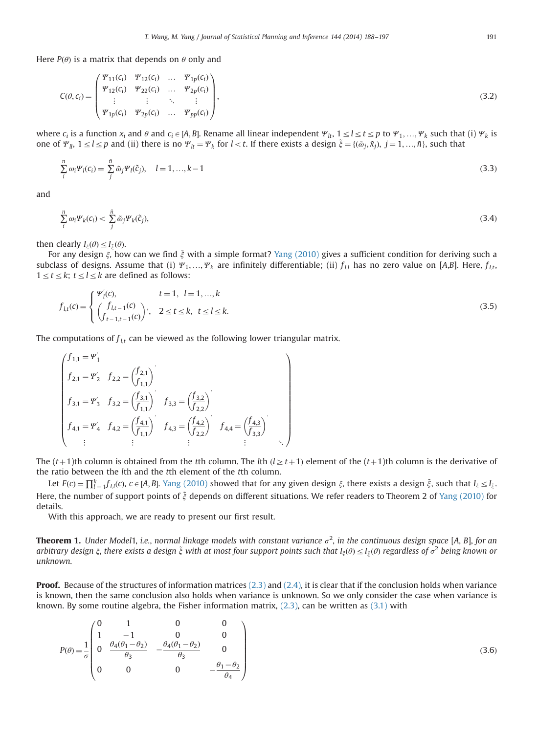<span id="page-3-0"></span>Here  $P(\theta)$  is a matrix that depends on  $\theta$  only and

$$
C(\theta, c_i) = \begin{pmatrix} \Psi_{11}(c_i) & \Psi_{12}(c_i) & \dots & \Psi_{1p}(c_i) \\ \Psi_{12}(c_i) & \Psi_{22}(c_i) & \dots & \Psi_{2p}(c_i) \\ \vdots & \vdots & \ddots & \vdots \\ \Psi_{1p}(c_i) & \Psi_{2p}(c_i) & \dots & \Psi_{pp}(c_i) \end{pmatrix},
$$
\n(3.2)

where  $c_i$  is a function  $x_i$  and  $\theta$  and  $c_i \in [A, B]$ . Rename all linear independent  $\Psi_{lt}$ ,  $1 \le l \le t \le p$  to  $\Psi_1, ..., \Psi_k$  such that (i)  $\Psi_k$  is one of  $\Psi_{ll}$ ,  $1 \leq l \leq p$  and (ii) there is no  $\Psi_{lt} = \Psi_k$  for  $l < t$ . If there exists a design  $\tilde{\xi} = \{(\tilde{\omega}_j, \tilde{x}_j), j = 1, ..., \tilde{n}\}$ , such that

$$
\sum_{i}^{n} \omega_{i} \Psi_{l}(c_{i}) = \sum_{j}^{n} \tilde{\omega}_{j} \Psi_{l}(\tilde{c}_{j}), \quad l = 1, ..., k - 1
$$
\n(3.3)

and

$$
\sum_{i}^{n} \omega_i \Psi_k(c_i) < \sum_{j}^{\tilde{n}} \tilde{\omega}_j \Psi_k(\tilde{c}_j),\tag{3.4}
$$

then clearly  $I_{\xi}(\theta) \leq I_{\xi}(\theta)$ .<br>For any design  $\xi$  how

For any design  $\xi$ , how can we find  $\xi$  with a simple format? [Yang \(2010\)](#page-9-0) gives a sufficient condition for deriving such a subclass of designs. Assume that (i)  $\Psi_1, ..., \Psi_k$  are infinitely differentiable; (ii)  $f_{ll}$  has no zero value on [A,B]. Here,  $f_{lt}$ ,  $1 \le t \le k$ ;  $t \le l \le k$  are defined as follows:

$$
f_{l,t}(c) = \begin{cases} \Psi'_l(c), & t = 1, l = 1, ..., k \\ \left(\frac{f_{l,t-1}(c)}{f_{t-1,t-1}(c)}\right)', & 2 \le t \le k, \ t \le l \le k. \end{cases}
$$
\n(3.5)

The computations of  $f_{lt}$  can be viewed as the following lower triangular matrix.

$$
\begin{pmatrix}\nf_{1,1} = \mathbf{Y}'_1 \\
f_{2,1} = \mathbf{Y}'_2 & f_{2,2} = \left(\frac{f_{2,1}}{f_{1,1}}\right) \\
f_{3,1} = \mathbf{Y}'_3 & f_{3,2} = \left(\frac{f_{3,1}}{f_{1,1}}\right) & f_{3,3} = \left(\frac{f_{3,2}}{f_{2,2}}\right) \\
f_{4,1} = \mathbf{Y}'_4 & f_{4,2} = \left(\frac{f_{4,1}}{f_{1,1}}\right) & f_{4,3} = \left(\frac{f_{4,2}}{f_{2,2}}\right) & f_{4,4} = \left(\frac{f_{4,3}}{f_{3,3}}\right) \\
\vdots & \vdots & \vdots\n\end{pmatrix}
$$

The  $(t+1)$ th column is obtained from the tth column. The lth  $(l \geq t+1)$  element of the  $(t+1)$ th column is the derivative of the ratio between the lth and the tth element of the tth column.

Let  $F(c) = \prod_{i=1}^{k} f_{l,i}(c), c \in [A, B]$ . [Yang \(2010\)](#page-9-0) showed that for any given design  $\xi$ , there exists a design  $\xi$ , such that  $I_{\xi} \leq I_{\xi}$ . Here, the number of support points of  $\xi$  depends on different situations. We refer readers to Theorem 2 of [Yang \(2010\)](#page-9-0) for details.

With this approach, we are ready to present our first result.

**Theorem 1.** Under Model1, i.e., normal linkage models with constant variance  $\sigma^2$ , in the continuous design space [A, B], for an arbitrary design ξ, there exists a design ξ with at most four support points such that I<sub>ξ</sub>(θ)  $\leq$  I<sub>ξ</sub>(θ) regardless of  $\sigma^2$  being known or<br>unknown unknown.

**Proof.** Because of the structures of information matrices  $(2.3)$  and  $(2.4)$ , it is clear that if the conclusion holds when variance is known, then the same conclusion also holds when variance is unknown. So we only consider the case when variance is known. By some routine algebra, the Fisher information matrix,  $(2.3)$ , can be written as  $(3.1)$  with

$$
P(\theta) = \frac{1}{\sigma} \begin{pmatrix} 0 & 1 & 0 & 0 \\ 1 & -1 & 0 & 0 \\ 0 & \frac{\theta_4(\theta_1 - \theta_2)}{\theta_3} & -\frac{\theta_4(\theta_1 - \theta_2)}{\theta_3} & 0 \\ 0 & 0 & 0 & -\frac{\theta_1 - \theta_2}{\theta_4} \end{pmatrix}
$$
(3.6)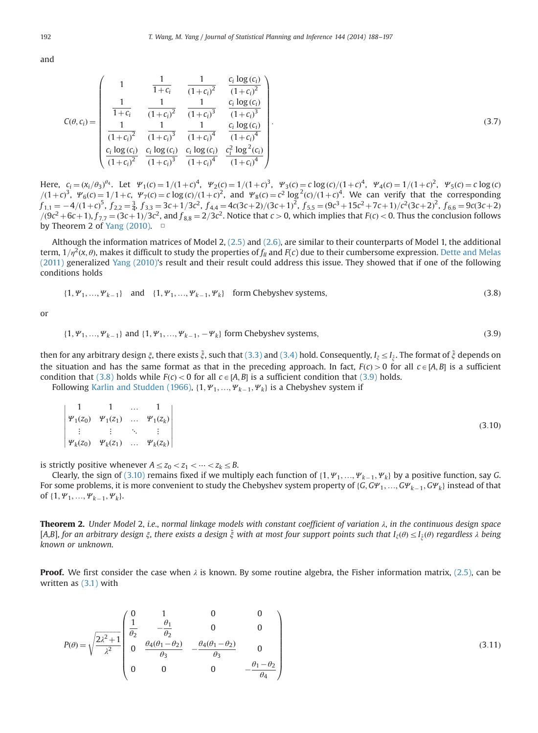<span id="page-4-0"></span>and

$$
C(\theta, c_i) = \begin{pmatrix} 1 & \frac{1}{1+c_i} & \frac{1}{(1+c_i)^2} & \frac{c_i \log(c_i)}{(1+c_i)^2} \\ \frac{1}{1+c_i} & \frac{1}{(1+c_i)^2} & \frac{1}{(1+c_i)^3} & \frac{c_i \log(c_i)}{(1+c_i)^3} \\ \frac{1}{(1+c_i)^2} & \frac{1}{(1+c_i)^3} & \frac{1}{(1+c_i)^4} & \frac{c_i \log(c_i)}{(1+c_i)^4} \\ \frac{c_i \log(c_i)}{(1+c_i)^2} & \frac{c_i \log(c_i)}{(1+c_i)^3} & \frac{c_i^2 \log^2(c_i)}{(1+c_i)^4} \end{pmatrix}
$$
(3.7)

Here,  $c_i = (x_i/\theta_3)^{\theta_4}$ . Let  $\Psi_1(c) = 1/(1+c)^4$ ,  $\Psi_2(c) = 1/(1+c)^3$ ,  $\Psi_3(c) = c \log(c)/(1+c)^4$ ,  $\Psi_4(c) = 1/(1+c)^2$ ,  $\Psi_5(c) = c \log(c)/(1+c)^4$  $\left( \frac{(1+c)^3}{2}, \frac{\psi_6(c)}{2} \right) = \frac{1}{1+c}, \frac{\psi_7(c)}{2c} \frac{c \log(c)}{(1+c)^2}, \text{ and } \frac{\psi_8(c)}{2c} = \frac{c^2 \log^2(c)}{(1+c)^4}.$  We can verify that the corresponding  $f = \frac{4}{(1+c)^5} \frac{1}{f} = \frac{3}{1+c^2} \frac{c}{(1+c)^2} \frac{1}{c^2} = \frac{2c}{1+c^2} \frac{1}{c^2} \frac{1}{c^2} =$  $f_{1,1} = -4/(1+c)^5$ ,  $f_{2,2} = \frac{3}{4}$ ,  $f_{3,3} = 3c+1/3c^2$ ,  $f_{4,4} = 4c(3c+2)/(3c+1)^2$ ,  $f_{5,5} = (9c^3+15c^2+7c+1)/(c^2(3c+2)^2$ ,  $f_{6,6} = 9c(3c+2)/(3c+2)^2$  $(9c^2 + 6c + 1)$ ,  $f_{7,7} = (3c + 1)/3c^2$ , and  $f_{8,8} = 2/3c^2$ . Notice that  $c > 0$ , which implies that  $F(c) < 0$ . Thus the conclusion follows by Theorem 2 of  $\sqrt{2}n\pi$  (2010) by Theorem 2 of [Yang \(2010\)](#page-9-0).  $\Box$ 

Although the information matrices of Model 2, [\(2.5\)](#page-2-0) and [\(2.6\)](#page-2-0), are similar to their counterparts of Model 1, the additional term,  $1/n^2(x, \theta)$ , makes it difficult to study the properties of  $f_{ll}$  and  $F(c)$  due to their cumbersome expression. [Dette and Melas](#page-9-0) [\(2011\)](#page-9-0) generalized [Yang \(2010\)](#page-9-0)'s result and their result could address this issue. They showed that if one of the following conditions holds

$$
\{1, \Psi_1, ..., \Psi_{k-1}\} \quad \text{and} \quad \{1, \Psi_1, ..., \Psi_{k-1}, \Psi_k\} \quad \text{form Chebyshev systems,} \tag{3.8}
$$

or

$$
\{1, \Psi_1, ..., \Psi_{k-1}\} \text{ and } \{1, \Psi_1, ..., \Psi_{k-1}, -\Psi_k\} \text{ form Chebyshev systems,}
$$
\n(3.9)

then for any arbitrary design  $\xi$ , there exists  $\tilde{\xi}$ , such that [\(3.3\)](#page-3-0) and [\(3.4\)](#page-3-0) hold. Consequently,  $I_{\xi}\leq I_{\tilde{\xi}}$ . The format of  $\tilde{\xi}$  depends on the situation and has the same format as that in the preceding approach. In fact,  $F(c) > 0$  for all  $c \in [A, B]$  is a sufficient condition that (3.8) holds while  $F(c) < 0$  for all  $c \in [A, B]$  is a sufficient condition that (3.9) holds.

Following [Karlin and Studden \(1966\),](#page-9-0)  $\{1, \Psi_1, ..., \Psi_{k-1}, \Psi_k\}$  is a Chebyshev system if

$$
\begin{vmatrix}\n1 & 1 & \dots & 1 \\
\Psi_1(z_0) & \Psi_1(z_1) & \dots & \Psi_1(z_k) \\
\vdots & \vdots & \ddots & \vdots \\
\Psi_k(z_0) & \Psi_k(z_1) & \dots & \Psi_k(z_k)\n\end{vmatrix}
$$
\n(3.10)

is strictly positive whenever  $A \le z_0 < z_1 < \cdots < z_k \le B$ .

Clearly, the sign of (3.10) remains fixed if we multiply each function of  $\{1, \Psi_1, ..., \Psi_{k-1}, \Psi_k\}$  by a positive function, say G.<br>Some problems it is more convenient to study the Chebyshey system property of (C. C.W. C. C For some problems, it is more convenient to study the Chebyshev system property of {G, G $\mathcal{Y}_1, ..., \mathcal{GP}_{k-1}, \mathcal{GP}_k$ } instead of that of the chebyshev system property of {G, G $\mathcal{Y}_1, ..., \mathcal{GP}_{k-1}, \mathcal{GP}_k$ } instead of that of  $\{1, \Psi_1, ..., \Psi_{k-1}, \Psi_k\}.$ 

**Theorem 2.** Under Model 2, i.e., normal linkage models with constant coefficient of variation  $\lambda$ , in the continuous design space [A,B], for an arbitrary design  $\xi$ , there exists a design  $\xi$  with at most four support points such that  $I_{\xi}(\theta) \leq I_{\xi}(\theta)$  regardless  $\lambda$  being<br>known or unknown known or unknown.

**Proof.** We first consider the case when  $\lambda$  is known. By some routine algebra, the Fisher information matrix, [\(2.5\)](#page-2-0), can be written as [\(3.1\)](#page-2-0) with

$$
P(\theta) = \sqrt{\frac{2\lambda^2 + 1}{\lambda^2}} \begin{pmatrix} 0 & 1 & 0 & 0 \\ \frac{1}{\theta_2} & -\frac{\theta_1}{\theta_2} & 0 & 0 \\ 0 & \frac{\theta_4(\theta_1 - \theta_2)}{\theta_3} & -\frac{\theta_4(\theta_1 - \theta_2)}{\theta_3} & 0 \\ 0 & 0 & 0 & -\frac{\theta_1 - \theta_2}{\theta_4} \end{pmatrix}
$$
(3.11)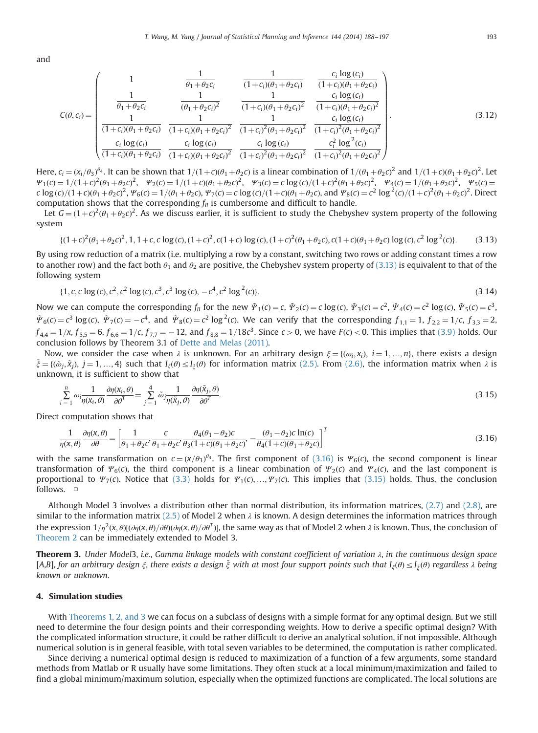<span id="page-5-0"></span>and

$$
C(\theta, c_i) = \begin{pmatrix} 1 & \frac{1}{\theta_1 + \theta_2 c_i} & \frac{1}{(1+c_i)(\theta_1 + \theta_2 c_i)} & \frac{c_i \log(c_i)}{(1+c_i)(\theta_1 + \theta_2 c_i)} \\ \frac{1}{\theta_1 + \theta_2 c_i} & \frac{1}{(\theta_1 + \theta_2 c_i)^2} & \frac{1}{(1+c_i)(\theta_1 + \theta_2 c_i)^2} & \frac{c_i \log(c_i)}{(1+c_i)(\theta_1 + \theta_2 c_i)^2} \\ \frac{1}{(1+c_i)(\theta_1 + \theta_2 c_i)} & \frac{1}{(1+c_i)(\theta_1 + \theta_2 c_i)^2} & \frac{1}{(1+c_i)^2(\theta_1 + \theta_2 c_i)^2} & \frac{c_i \log(c_i)}{(1+c_i)^2(\theta_1 + \theta_2 c_i)^2} \\ \frac{c_i \log(c_i)}{(1+c_i)(\theta_1 + \theta_2 c_i)} & \frac{c_i \log(c_i)}{(1+c_i)^2(\theta_1 + \theta_2 c_i)^2} & \frac{c_i \log^2(c_i)}{(1+c_i)^2(\theta_1 + \theta_2 c_i)^2} \end{pmatrix}
$$
(3.12)

Here,  $c_i = (x_i/\theta_3)^{\theta_4}$ . It can be shown that  $1/(1+c)(\theta_1+\theta_2c)$  is a linear combination of  $1/(\theta_1+\theta_2c)^2$  and  $1/(1+c)(\theta_1+\theta_2c)^2$ . Let  $\psi_{\theta}(c) = 1/(1+c)^2(\theta_1+\theta_2c)^2$  w<sub>c</sub>(c) =  $1/\theta_2$  +  $\theta_3c^2$  =  $\psi_{\theta}(c) = 1/(\theta_1+\theta_2c)^$  $\Psi_1(c) = 1/(1+c)^2(\theta_1+\theta_2c)^2$ ,  $\Psi_2(c) = 1/(1+c)(\theta_1+\theta_2c)^2$ ,  $\Psi_3(c) = c \log(c)/(1+c)^2(\theta_1+\theta_2c)^2$ ,  $\Psi_4(c) = 1/(\theta_1+\theta_2c)^2$ ,  $\Psi_5(c) = c \log(c)/(1+c)^2(\theta_1+\theta_2c)^2$ ,  $\Psi_5(c) = c \log(c)/(1+c)^2(\theta_1+\theta_2c)^2$ c log(c)/ $(1+c)(\theta_1+\theta_2c)^2$ ,  $\Psi_6(c)=1/(\theta_1+\theta_2c)$ ,  $\Psi_7(c)=c\log(c)/(1+c)(\theta_1+\theta_2c)$ , and  $\Psi_8(c)=c^2\log^2(c)/(1+c)^2(\theta_1+\theta_2c)^2$ . Direct computation shows that the corresponding  $f_{ll}$  is cumbersome and difficult to handle.

Let  $G = (1+c)^2(\theta_1+\theta_2c)^2$ . As we discuss earlier, it is sufficient to study the Chebyshev system property of the following system

$$
\{(1+c)^2(\theta_1+\theta_2c)^2, 1, 1+c, c\log(c), (1+c)^2, c(1+c)\log(c), (1+c)^2(\theta_1+\theta_2c), c(1+c)(\theta_1+\theta_2c)\log(c), c^2\log^2(c)\}.
$$
 (3.13)

By using row reduction of a matrix (i.e. multiplying a row by a constant, switching two rows or adding constant times a row to another row) and the fact both  $\theta_1$  and  $\theta_2$  are positive, the Chebyshev system property of (3.13) is equivalent to that of the following system

$$
\{1, c, c \log(c), c^2, c^2 \log(c), c^3, c^3 \log(c), -c^4, c^2 \log^2(c)\}.
$$
\n(3.14)

Now we can compute the corresponding  $f_{ll}$  for the new  $\tilde{\Psi}_1(c) = c$ ,  $\tilde{\Psi}_2(c) = c \log(c)$ ,  $\tilde{\Psi}_3(c) = c^2$ ,  $\tilde{\Psi}_4(c) = c^2 \log(c)$ ,  $\tilde{\Psi}_5(c) = c^3$ ,  $\tilde{\Psi}_6(c) = c^3 \log(c), \ \tilde{\Psi}_7(c) = -c^4$ , and  $\tilde{\Psi}_8(c) = c^2 \log^2(c)$ . We can verify that the corresponding  $f_{1,1} = 1$ ,  $f_{2,2} = 1/c$ ,  $f_{3,3} = 2$ ,  $f_{4,4} = 1/x$ ,  $f_{5,5} = 6$ ,  $f_{6,6} = 1/c$ ,  $f_{7,7} = -12$ , and  $f_{8,8} = 1/18c^3$ . Since  $c > 0$ , we have  $F(c) < 0$ . This implies that [\(3.9\)](#page-4-0) holds. Our conclusion follows by Theorem 2.1 of Dotto and Molas (2011). conclusion follows by Theorem 3.1 of [Dette and Melas \(2011\)](#page-9-0).

Now, we consider the case when  $\lambda$  is unknown. For an arbitrary design  $\xi = \{(\omega_i, x_i), i = 1, ..., n\}$ , there exists a design  $\tilde{\xi} = \{(\tilde{\omega}_j, \tilde{x}_j), j = 1, ..., 4\}$  such that  $I_{\xi}(\theta) \leq I_{\xi}(\theta)$  for information matrix [\(2.5\).](#page-2-0) From [\(2.6\),](#page-2-0) the information matrix when  $\lambda$  is unknown it is sufficient to show that unknown, it is sufficient to show that

$$
\sum_{i=1}^{n} \omega_{i} \frac{1}{\eta(\mathbf{x}_{i}, \theta)} \frac{\partial \eta(\mathbf{x}_{i}, \theta)}{\partial \theta^{T}} = \sum_{j=1}^{4} \tilde{\omega}_{j} \frac{1}{\eta(\tilde{\mathbf{x}}_{j}, \theta)} \frac{\partial \eta(\tilde{\mathbf{x}}_{j}, \theta)}{\partial \theta^{T}}.
$$
\n(3.15)

Direct computation shows that

$$
\frac{1}{\eta(\mathbf{x},\theta)}\frac{\partial\eta(\mathbf{x},\theta)}{\partial\theta} = \left[\frac{1}{\theta_1 + \theta_2 c}, \frac{c}{\theta_1 + \theta_2 c}, \frac{\theta_4(\theta_1 - \theta_2)c}{\theta_3(1 + c)(\theta_1 + \theta_2 c)}, -\frac{(\theta_1 - \theta_2)c\ln(c)}{\theta_4(1 + c)(\theta_1 + \theta_2 c)}\right]^T
$$
(3.16)

with the same transformation on  $c = (x/\theta_3)^{\theta_4}$ . The first component of (3.16) is  $\Psi_6(c)$ , the second component is linear<br>transformation of  $\Psi_6(c)$  the third component is a linear combination of  $\Psi_6(c)$  and  $\Psi_6(c)$  a transformation of  $\Psi_6(c)$ , the third component is a linear combination of  $\Psi_2(c)$  and  $\Psi_4(c)$ , and the last component is proportional to  $\Psi_7(c)$ . Notice that [\(3.3\)](#page-3-0) holds for  $\Psi_1(c), ..., \Psi_7(c)$ . This implies that (3.15) holds. Thus, the conclusion follows. □

Although Model 3 involves a distribution other than normal distribution, its information matrices, [\(2.7\)](#page-2-0) and [\(2.8\)](#page-2-0), are similar to the information matrix [\(2.5\)](#page-2-0) of Model 2 when  $\lambda$  is known. A design determines the information matrices through the expression  $1/n^2(x,\theta)(\partial \eta(x,\theta)/\partial \theta)(\partial \eta(x,\theta)/\partial \theta^T)$ , the same way as that of Model 2 when  $\lambda$  is known. Thus, the conclusion of [Theorem 2](#page-4-0) can be immediately extended to Model 3.

**Theorem 3.** Under Model3, i.e., Gamma linkage models with constant coefficient of variation  $\lambda$ , in the continuous design space [A,B], for an arbitrary design  $\xi$ , there exists a design  $\xi$  with at most four support points such that  $I_{\xi}(\theta) \leq I_{\xi}(\theta)$  regardless  $\lambda$  being<br>known or unknown known or unknown.

#### 4. Simulation studies

With [Theorems 1, 2, and 3](#page-3-0) we can focus on a subclass of designs with a simple format for any optimal design. But we still need to determine the four design points and their corresponding weights. How to derive a specific optimal design? With the complicated information structure, it could be rather difficult to derive an analytical solution, if not impossible. Although numerical solution is in general feasible, with total seven variables to be determined, the computation is rather complicated.

Since deriving a numerical optimal design is reduced to maximization of a function of a few arguments, some standard methods from Matlab or R usually have some limitations. They often stuck at a local minimum/maximization and failed to find a global minimum/maximum solution, especially when the optimized functions are complicated. The local solutions are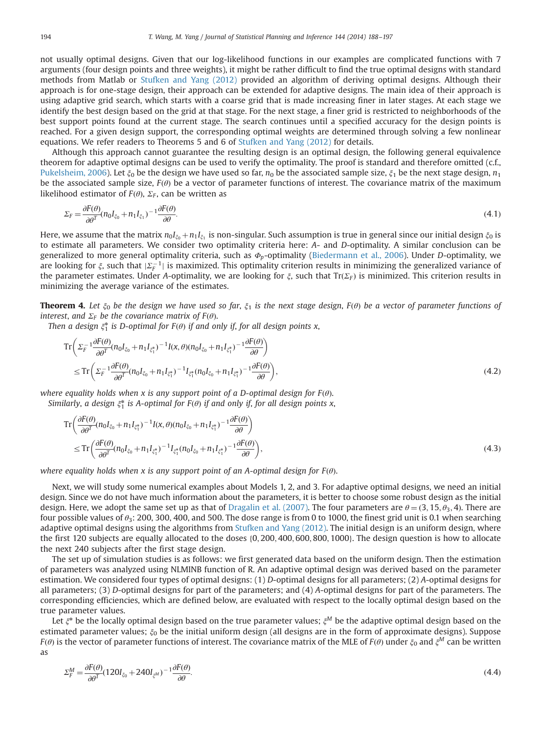<span id="page-6-0"></span>not usually optimal designs. Given that our log-likelihood functions in our examples are complicated functions with 7 arguments (four design points and three weights), it might be rather difficult to find the true optimal designs with standard methods from Matlab or [Stufken and Yang \(2012\)](#page-9-0) provided an algorithm of deriving optimal designs. Although their approach is for one-stage design, their approach can be extended for adaptive designs. The main idea of their approach is using adaptive grid search, which starts with a coarse grid that is made increasing finer in later stages. At each stage we identify the best design based on the grid at that stage. For the next stage, a finer grid is restricted to neighborhoods of the best support points found at the current stage. The search continues until a specified accuracy for the design points is reached. For a given design support, the corresponding optimal weights are determined through solving a few nonlinear equations. We refer readers to Theorems 5 and 6 of [Stufken and Yang \(2012\)](#page-9-0) for details.

Although this approach cannot guarantee the resulting design is an optimal design, the following general equivalence theorem for adaptive optimal designs can be used to verify the optimality. The proof is standard and therefore omitted (c.f., [Pukelsheim, 2006](#page-9-0)). Let  $\xi_0$  be the design we have used so far,  $n_0$  be the associated sample size,  $\xi_1$  be the next stage design,  $n_1$ be the associated sample size,  $F(\theta)$  be a vector of parameter functions of interest. The covariance matrix of the maximum likelihood estimator of  $F(\theta)$ ,  $\Sigma_F$ , can be written as

$$
\Sigma_F = \frac{\partial F(\theta)}{\partial \theta^T} (n_0 I_{\xi_0} + n_1 I_{\xi_1})^{-1} \frac{\partial F(\theta)}{\partial \theta}.
$$
\n(4.1)

Here, we assume that the matrix  $n_0I_{\xi_0} + n_1I_{\xi_1}$  is non-singular. Such assumption is true in general since our initial design  $\xi_0$  is to estimate all parameters. We consider two optimality criteria here: A- and D-optimality. A similar conclusion can be generalized to more general optimality criteria, such as  $\Phi_p$ -optimality [\(Biedermann et al., 2006\)](#page-9-0). Under *D*-optimality, we are looking for  $\xi$ , such that  $|\Sigma_F^{-1}|$  is maximized. This optimality criterion results in minimizing the generalized variance of<br>the parameter estimates. Under 4-optimality, we are looking for  $\xi$  such that  $Tr(\Sigma_T)$  is the parameter estimates. Under A-optimality, we are looking for  $\xi$ , such that Tr( $\Sigma_F$ ) is minimized. This criterion results in minimizing the average variance of the estimates.

**Theorem 4.** Let  $\xi_0$  be the design we have used so far,  $\xi_1$  is the next stage design,  $F(\theta)$  be a vector of parameter functions of interest, and  $\Sigma_F$  be the covariance matrix of  $F(\theta)$ .

Then a design  $\xi_1^*$  is D-optimal for  $F(\theta)$  if and only if, for all design points x,

$$
\mathrm{Tr}\left(\Sigma_{F}^{-1}\frac{\partial F(\theta)}{\partial \theta^{T}}(n_{0}I_{\xi_{0}}+n_{1}I_{\xi_{1}^{*}})^{-1}I(x,\theta)(n_{0}I_{\xi_{0}}+n_{1}I_{\xi_{1}^{*}})^{-1}\frac{\partial F(\theta)}{\partial \theta}\right) \leq \mathrm{Tr}\left(\Sigma_{F}^{-1}\frac{\partial F(\theta)}{\partial \theta^{T}}(n_{0}I_{\xi_{0}}+n_{1}I_{\xi_{1}^{*}})^{-1}I_{\xi_{1}^{*}}(n_{0}I_{\xi_{0}}+n_{1}I_{\xi_{1}^{*}})^{-1}\frac{\partial F(\theta)}{\partial \theta}\right),
$$
\n(4.2)

where equality holds when x is any support point of a D-optimal design for  $F(\theta)$ . Similarly, a design  $\xi_1^*$  is A-optimal for  $F(\theta)$  if and only if, for all design points x,

$$
\begin{split} \operatorname{Tr}\left(\frac{\partial F(\theta)}{\partial \theta^{T}}(n_{0}I_{\xi_{0}}+n_{1}I_{\xi_{1}^{*}})^{-1}I(x,\theta)(n_{0}I_{\xi_{0}}+n_{1}I_{\xi_{1}^{*}})^{-1}\frac{\partial F(\theta)}{\partial \theta}\right) \\ \leq \operatorname{Tr}\left(\frac{\partial F(\theta)}{\partial \theta^{T}}(n_{0}I_{\xi_{0}}+n_{1}I_{\xi_{1}^{*}})^{-1}I_{\xi_{1}^{*}}(n_{0}I_{\xi_{0}}+n_{1}I_{\xi_{1}^{*}})^{-1}\frac{\partial F(\theta)}{\partial \theta}\right), \end{split} \tag{4.3}
$$

where equality holds when x is any support point of an A-optimal design for  $F(\theta)$ .

Next, we will study some numerical examples about Models 1, 2, and 3. For adaptive optimal designs, we need an initial design. Since we do not have much information about the parameters, it is better to choose some robust design as the initial design. Here, we adopt the same set up as that of [Dragalin et al. \(2007\).](#page-9-0) The four parameters are  $\theta = (3, 15, \theta_3, 4)$ . There are four possible values of  $\theta_3$ : 200, 300, 400, and 500. The dose range is from 0 to 1000, the finest grid unit is 0.1 when searching adaptive optimal designs using the algorithms from [Stufken and Yang \(2012\)](#page-9-0). The initial design is an uniform design, where the first 120 subjects are equally allocated to the doses {0, 200, 400, 600, 800, 1000}. The design question is how to allocate the next 240 subjects after the first stage design.

The set up of simulation studies is as follows: we first generated data based on the uniform design. Then the estimation of parameters was analyzed using NLMINB function of R. An adaptive optimal design was derived based on the parameter estimation. We considered four types of optimal designs: (1) D-optimal designs for all parameters; (2) A-optimal designs for all parameters; (3) D-optimal designs for part of the parameters; and (4) A-optimal designs for part of the parameters. The corresponding efficiencies, which are defined below, are evaluated with respect to the locally optimal design based on the true parameter values.

Let  $\xi^*$  be the locally optimal design based on the true parameter values;  $\xi^M$  be the adaptive optimal design based on the estimated parameter values;  $\xi_0$  be the initial uniform design (all designs are in the form of approximate designs). Suppose  $F(\theta)$  is the vector of parameter functions of interest. The covariance matrix of the MLE of  $F(\theta)$  under  $\xi_0$  and  $\xi^M$  can be written as

$$
\Sigma_F^M = \frac{\partial F(\theta)}{\partial \theta^T} (120I_{\xi_0} + 240I_{\xi^M})^{-1} \frac{\partial F(\theta)}{\partial \theta}.
$$
\n(4.4)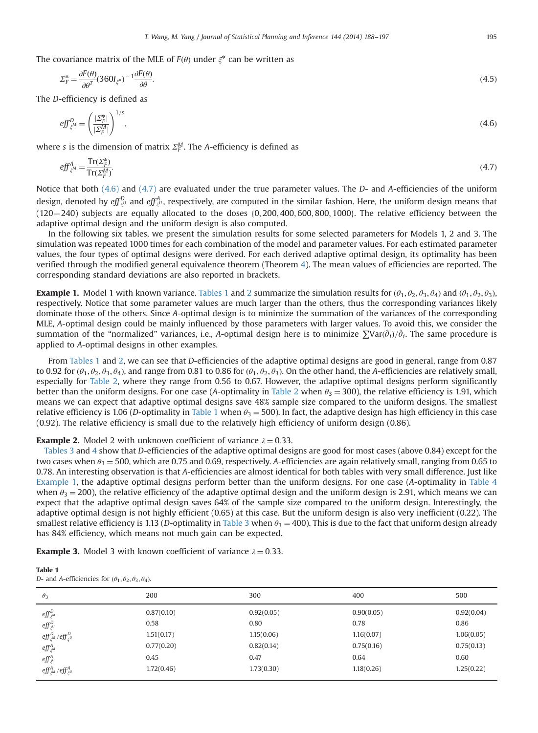<span id="page-7-0"></span>The covariance matrix of the MLE of  $F(\theta)$  under  $\xi^*$  can be written as

$$
\Sigma_F^* = \frac{\partial F(\theta)}{\partial \theta^T} (360 I_{\xi^*})^{-1} \frac{\partial F(\theta)}{\partial \theta}.
$$
\n(4.5)

The D-efficiency is defined as

$$
eff_{\xi^M}^D = \left(\frac{|\Sigma_F^*|}{|\Sigma_F^M|}\right)^{1/s},\tag{4.6}
$$

where s is the dimension of matrix  $\Sigma_F^M$ . The A-efficiency is defined as

$$
eff_{\xi^M}^A = \frac{\operatorname{Tr}(\Sigma_F^*)}{\operatorname{Tr}(\Sigma_F^M)}.\tag{4.7}
$$

Notice that both (4.6) and (4.7) are evaluated under the true parameter values. The D- and A-efficiencies of the uniform design, denoted by  $\it eff^{D}_{\xi^U}$  and  $\it eff^{A}_{\xi^U}$ , respectively, are computed in the similar fashion. Here, the uniform design means that  $(120+240)$  subjects are equally allocated to the doses  $(0, 200, 400, 600, 800, 1000)$ . The relative efficiency between the adaptive optimal design and the uniform design is also computed.

In the following six tables, we present the simulation results for some selected parameters for Models 1, 2 and 3. The simulation was repeated 1000 times for each combination of the model and parameter values. For each estimated parameter values, the four types of optimal designs were derived. For each derived adaptive optimal design, its optimality has been verified through the modified general equivalence theorem (Theorem [4](#page-6-0)). The mean values of efficiencies are reported. The corresponding standard deviations are also reported in brackets.

**Example 1.** Model 1 with known variance. Tables 1 and [2](#page-8-0) summarize the simulation results for  $(\theta_1, \theta_2, \theta_3, \theta_4)$  and  $(\theta_1, \theta_2, \theta_3)$ , respectively. Notice that some parameter values are much larger than the others, thus the corresponding variances likely dominate those of the others. Since A-optimal design is to minimize the summation of the variances of the corresponding MLE, A-optimal design could be mainly influenced by those parameters with larger values. To avoid this, we consider the summation of the "normalized" variances, i.e., A-optimal design here is to minimize  $\sum Var(\hat{\theta}_i)/\hat{\theta}_i$ . The same procedure is<br>applied to 4-optimal designs in other examples applied to A-optimal designs in other examples.

From Tables 1 and [2,](#page-8-0) we can see that D-efficiencies of the adaptive optimal designs are good in general, range from 0.87 to 0.92 for  $(\theta_1, \theta_2, \theta_3, \theta_4)$ , and range from 0.81 to 0.86 for  $(\theta_1, \theta_2, \theta_3)$ . On the other hand, the A-efficiencies are relatively small, especially for [Table 2,](#page-8-0) where they range from 0.56 to 0.67. However, the adaptive optimal designs perform significantly better than the uniform designs. For one case (A-optimality in [Table 2](#page-8-0) when  $\theta_3 = 300$ ), the relative efficiency is 1.91, which means we can expect that adaptive optimal designs save 48% sample size compared to the uniform designs. The smallest relative efficiency is 1.06 (D-optimality in Table 1 when  $\theta_3 = 500$ ). In fact, the adaptive design has high efficiency in this case (0.92). The relative efficiency is small due to the relatively high efficiency of uniform design (0.86).

# **Example 2.** Model 2 with unknown coefficient of variance  $\lambda = 0.33$ .

[Tables 3](#page-8-0) and [4](#page-8-0) show that D-efficiencies of the adaptive optimal designs are good for most cases (above 0.84) except for the two cases when  $\theta_3 = 500$ , which are 0.75 and 0.69, respectively. A-efficiencies are again relatively small, ranging from 0.65 to 0.78. An interesting observation is that A-efficiencies are almost identical for both tables with very small difference. Just like Example 1, the adaptive optimal designs perform better than the uniform designs. For one case (A-optimality in [Table 4](#page-8-0) when  $\theta_3 = 200$ ), the relative efficiency of the adaptive optimal design and the uniform design is 2.91, which means we can expect that the adaptive optimal design saves 64% of the sample size compared to the uniform design. Interestingly, the adaptive optimal design is not highly efficient (0.65) at this case. But the uniform design is also very inefficient (0.22). The smallest relative efficiency is 1.13 (D-optimality in [Table 3](#page-8-0) when  $\theta_3 = 400$ ). This is due to the fact that uniform design already has 84% efficiency, which means not much gain can be expected.

**Example 3.** Model 3 with known coefficient of variance  $\lambda = 0.33$ .

| Table 1                                                                |  |
|------------------------------------------------------------------------|--|
| D- and A-efficiencies for $(\theta_1, \theta_2, \theta_3, \theta_4)$ . |  |

| $\theta_3$                                                            | 200        | 300        | 400        | 500        |
|-----------------------------------------------------------------------|------------|------------|------------|------------|
| $\mathit{eff}^D_{\xi^M}$                                              | 0.87(0.10) | 0.92(0.05) | 0.90(0.05) | 0.92(0.04) |
| $\mathit{eff}^D_{\xi^U}$                                              | 0.58       | 0.80       | 0.78       | 0.86       |
| $\mathit{eff}^D_{\xi^M}/\mathit{eff}^D_{\xi^U}$                       | 1.51(0.17) | 1.15(0.06) | 1.16(0.07) | 1.06(0.05) |
| $\mathit{eff}^{A}_{\xi^{M}}$                                          | 0.77(0.20) | 0.82(0.14) | 0.75(0.16) | 0.75(0.13) |
| $\mathit{eff}^{A}_{\xi^{U}}$                                          | 0.45       | 0.47       | 0.64       | 0.60       |
| $\mathit{eff}^{A}_{\mathit{E}^{M}}/\mathit{eff}^{A}_{\mathit{E}^{U}}$ | 1.72(0.46) | 1,73(0.30) | 1.18(0.26) | 1.25(0.22) |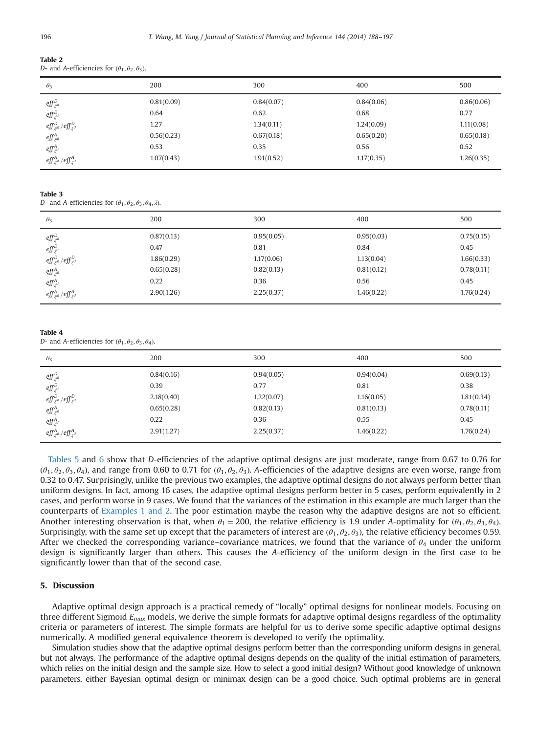<span id="page-8-0"></span>

| Table 2                                                      |  |
|--------------------------------------------------------------|--|
| D- and A-efficiencies for $(\theta_1, \theta_2, \theta_3)$ . |  |

| $\theta_3$                                                                                                                         | 200        | 300        | 400        | 500        |
|------------------------------------------------------------------------------------------------------------------------------------|------------|------------|------------|------------|
| $\mathit{eff}^D_{\xi^M}$                                                                                                           | 0.81(0.09) | 0.84(0.07) | 0.84(0.06) | 0.86(0.06) |
| $\begin{array}{l} \displaystyle \mathit{eff}^D_{\xi^U} \\ \displaystyle \mathit{eff}^D_{\xi^M}/\mathit{eff}^D_{\xi^U} \end{array}$ | 0.64       | 0.62       | 0.68       | 0.77       |
|                                                                                                                                    | 1.27       | 1.34(0.11) | 1.24(0.09) | 1.11(0.08) |
| $\mathit{eff}^{A}_{\xi^{M}}$                                                                                                       | 0.56(0.23) | 0.67(0.18) | 0.65(0.20) | 0.65(0.18) |
| $\mathit{eff}^{A}_{\xi^{U}}$                                                                                                       | 0.53       | 0.35       | 0.56       | 0.52       |
| $\mathit{eff}^{A}_{\xi^{M}}/\mathit{eff}^{A}_{\xi^{U}}$                                                                            | 1.07(0.43) | 1.91(0.52) | 1.17(0.35) | 1.26(0.35) |
|                                                                                                                                    |            |            |            |            |

#### Table 3

D- and A-efficiencies for  $(\theta_1, \theta_2, \theta_3, \theta_4, \lambda)$ .

| $\theta_3$                                                                              | 200        | 300        | 400        | 500        |
|-----------------------------------------------------------------------------------------|------------|------------|------------|------------|
| $\mathit{eff}^D_{\xi^M}$                                                                | 0.87(0.13) | 0.95(0.05) | 0.95(0.03) | 0.75(0.15) |
|                                                                                         | 0.47       | 0.81       | 0.84       | 0.45       |
| $\mathit{eff}^{D}_{\xi^{U}}$<br>$\mathit{eff}^{D}_{\xi^{M}}/\mathit{eff}^{D}_{\xi^{U}}$ | 1.86(0.29) | 1.17(0.06) | 1.13(0.04) | 1.66(0.33) |
| $\mathit{eff}^{A}_{\xi^{M}}$                                                            | 0.65(0.28) | 0.82(0.13) | 0.81(0.12) | 0.78(0.11) |
| $\mathit{eff}^{A}_{\xi^{U}}$                                                            | 0.22       | 0.36       | 0.56       | 0.45       |
| $\mathit{eff}^{A}_{\mathit{E}^{M}}/\mathit{eff}^{A}_{\mathit{E}^{U}}$                   | 2.90(1.26) | 2.25(0.37) | 1.46(0.22) | 1.76(0.24) |

#### Table 4

D- and A-efficiencies for  $(\theta_1, \theta_2, \theta_3, \theta_4)$ .

| $\theta_3$                                                                  | 200        | 300        | 400        | 500        |
|-----------------------------------------------------------------------------|------------|------------|------------|------------|
| $\mathit{eff}^D_{\xi^M}$                                                    | 0.84(0.16) | 0.94(0.05) | 0.94(0.04) | 0.69(0.13) |
|                                                                             | 0.39       | 0.77       | 0.81       | 0.38       |
| $\mathit{eff}^D_{\xi^U}$<br>$\mathit{eff}^D_{\xi^M}/\mathit{eff}^D_{\xi^U}$ | 2.18(0.40) | 1.22(0.07) | 1.16(0.05) | 1.81(0.34) |
| $\mathit{eff}^{A}_{\xi^{M}}$                                                | 0.65(0.28) | 0.82(0.13) | 0.81(0.13) | 0.78(0.11) |
| $\mathit{eff}^{A}_{\xi^{U}}$                                                | 0.22       | 0.36       | 0.55       | 0.45       |
| $\mathit{eff}^A_{\varepsilon^M}/\mathit{eff}^A_{\varepsilon^U}$             | 2.91(1.27) | 2.25(0.37) | 1.46(0.22) | 1.76(0.24) |

[Tables 5](#page-9-0) and [6](#page-9-0) show that D-efficiencies of the adaptive optimal designs are just moderate, range from 0.67 to 0.76 for  $(\theta_1, \theta_2, \theta_3, \theta_4)$ , and range from 0.60 to 0.71 for  $(\theta_1, \theta_2, \theta_3)$ . A-efficiencies of the adaptive designs are even worse, range from 0.32 to 0.47. Surprisingly, unlike the previous two examples, the adaptive optimal designs do not always perform better than uniform designs. In fact, among 16 cases, the adaptive optimal designs perform better in 5 cases, perform equivalently in 2 cases, and perform worse in 9 cases. We found that the variances of the estimation in this example are much larger than the counterparts of [Examples 1 and 2](#page-7-0). The poor estimation maybe the reason why the adaptive designs are not so efficient. Another interesting observation is that, when  $\theta_1 = 200$ , the relative efficiency is 1.9 under A-optimality for  $(\theta_1, \theta_2, \theta_3, \theta_4)$ . Surprisingly, with the same set up except that the parameters of interest are  $(\theta_1, \theta_2, \theta_3)$ , the relative efficiency becomes 0.59. After we checked the corresponding variance–covariance matrices, we found that the variance of  $\theta_4$  under the uniform design is significantly larger than others. This causes the A-efficiency of the uniform design in the first case to be significantly lower than that of the second case.

# 5. Discussion

Adaptive optimal design approach is a practical remedy of "locally" optimal designs for nonlinear models. Focusing on three different Sigmoid  $E_{max}$  models, we derive the simple formats for adaptive optimal designs regardless of the optimality criteria or parameters of interest. The simple formats are helpful for us to derive some specific adaptive optimal designs numerically. A modified general equivalence theorem is developed to verify the optimality.

Simulation studies show that the adaptive optimal designs perform better than the corresponding uniform designs in general, but not always. The performance of the adaptive optimal designs depends on the quality of the initial estimation of parameters, which relies on the initial design and the sample size. How to select a good initial design? Without good knowledge of unknown parameters, either Bayesian optimal design or minimax design can be a good choice. Such optimal problems are in general